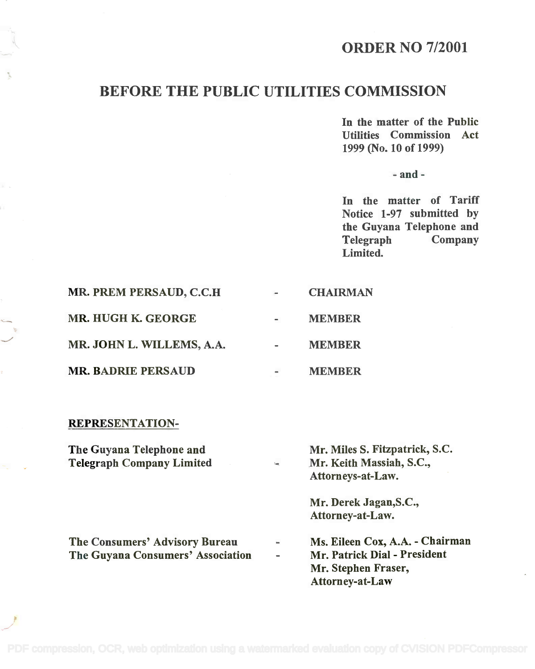# ORDER NO 7/2001

# BEFORE THE PUBLIC UTILITIES COMMISSION

In the matter of the Public In the matter of the Public Utilities Commission Act Utilities Commission Act 1999 (No. 10 of 1999) 1999 (No. 10 of 1999)

- and -

In the matter of Tariff In the matter of Tariff Notice 1-97 submitted by Notice 1-97 submitted by the Guyana Telephone and the Guyana Telephone and Telegraph Company Telegraph Company Limited. Limited.

|                           |                | <b>CHAIRMAN</b>         |
|---------------------------|----------------|-------------------------|
| MR. HUGH K. GEORGE        | $\blacksquare$ | <b>MEMBER</b>           |
| MR. JOHN L. WILLEMS, A.A. | $\blacksquare$ | <b>MEMBER</b>           |
| <b>MR. BADRIE PERSAUD</b> | $\blacksquare$ | <b>MEMBER</b>           |
|                           |                | MR. PREM PERSAUD, C.C.H |

#### REPRESENTATION-

The Guyana Telephone and The Guyana Telephone and Telegraph Company Limited Telegraph Company Limited Mr. Miles S. Fitzpatrick, S.C. Mr. Keith Massiah, S.C., Mr. Keith Massiah, S.C., Attorneys-at-Law. Attorneys-at-Law.

> Mr. Derek Jagan,S.C., Mr. Derek Jagan,S.C., Attorney-at-Law. Attorney-at-Law.

The Consumers' Advisory Bureau The Consumers' Advisory Bureau The Guyana Consumers' Association The Guyana Consumers' Association Ms. Eileen Cox, A.A. - Chairman Ms. Eileen Cox, A.A. - Chairman Mr. Patrick Dial - President Mr. Patrick Dial - President Mr. Stephen Fraser, Mr. Stephen Fraser,

Attorney-at-Law Attorney-at-Law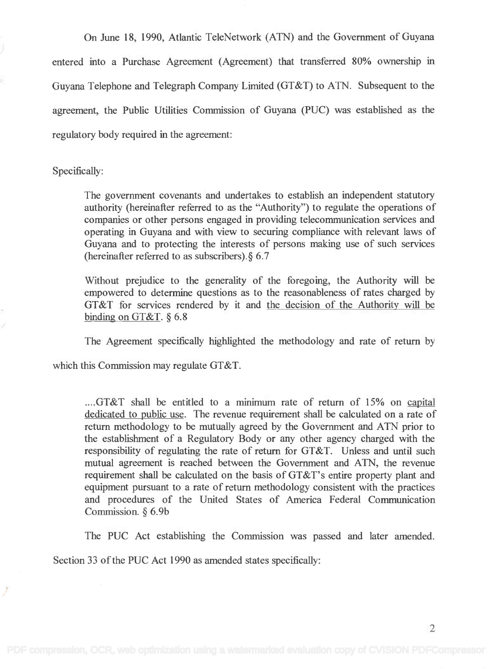On June 18, 1990, Atlantic TeleNetwork (ATN) and the Government of Guyana entered into a Purchase Agreement (Agreement) that transferred 80% ownership in Guyana Telephone and Telegraph Company Limited (GT&T) to ATN. Subsequent to the agreement, the Public Utilities Commission of Guyana (PUC) was established as the regulatory body required in the agreement:

Specifically:

The government covenants and undertakes to establish an independent statutory The government covenants and undertakes to establish an independent statutory authority (hereinafter referred to as the "Authority") to regulate the operations of authority (hereinafter referred to as the "Authority") to regulate the operations of companies or other persons engaged in providing telecommunication services and operating in Guyana and with view to securing compliance with relevant laws of Guyana and to protecting the interests of persons making use of such services Guyana and to protecting the interests of persons making use of such services (hereinafter referred to as subscribers).§ 6.7 (hereinafter referred to as subscribers).§ 6.7

Without prejudice to the generality of the foregoing, the Authority will be Without prejudice to the generality of the foregoing, the Authority will be empowered to determine questions as to the reasonableness of rates charged by empowered to determine questions as to the reasonableness of rates charged by GT&T for services rendered by it and the decision of the Authority will be GT&T for services rendered by it and the decision of the Authority will be binding on  $GT\&T$ .  $\S 6.8$ 

The Agreement specifically highlighted the methodology and rate of return by

which this Commission may regulate GT&T.

....GT&T shall be entitled to a minimum rate of return of 15% on capital dedicated to public use. The revenue requirement shall be calculated on a rate of return methodology to be mutually agreed by the Government and ATN prior to the establishment of a Regulatory Body or any other agency charged with the the establishment of a Regulatory Body or any other agency charged with the responsibility of regulating the rate of return for GT&T. Unless and until such responsibility of regulating the rate of return for GT&T. Unless and until such mutual agreement is reached between the Government and ATN, the revenue mutual agreement is reached between the Government and ATN, the revenue requirement shall be calculated on the basis of GT&T's entire property plant and equipment pursuant to a rate of return methodology consistent with the practices equipment pursuant to a rate of return methodology consistent with the practices and procedures of the United States of America Federal Communication and procedures of the United States of America Federal Communication Commission. § 6.9b Commission. § 6.9b

The PUC Act establishing the Commission was passed and later amended.

Section 33 of the PUC Act 1990 as amended states specifically: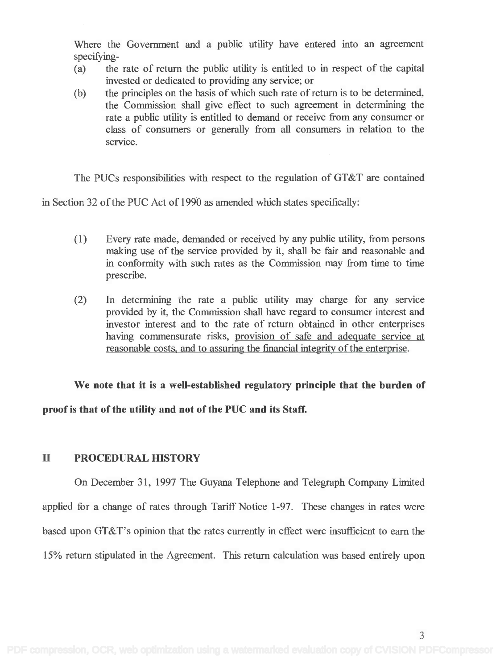Where the Government and a public utility have entered into an agreement Where the Government and a public utility have entered into an agreement specifying- specifying -

- (a) the rate of return the public utility is entitled to in respect of the capital (a) the rate of return the public utility is entitled to in respect of the capital invested or dedicated to providing any service; or invested or dedicated to providing any service; or
- (b) the principles on the basis of which such rate of return is to be determined, (b) the principles on the basis of which such rate of return is to be determined, the Commission shall give effect to such agreement in determining the the Commission shall give effect to such agreement in determining the rate a public utility is entitled to demand or receive from any consumer or class of consumers or generally from all consumers in relation to the class of consumers or generally from all consumers in relation to the service. service.

The PUCs responsibilities with respect to the regulation of GT&T are contained

in Section 32 of the PUC Act of 1990 as amended which states specifically:

- (1) Every rate made, demanded or received by any public utility, from persons (1) Every rate made, demanded or received by any public utility, from persons making use of the service provided by it, shall be fair and reasonable and making use of the service provided by it, shall be fair and reasonable and in conformity with such rates as the Commission may from time to time in conformity with such rates as the Commission may from time to time prescribe. prescribe.
- (2) In determining the rate a public utility may charge for any service (2) In determining he rate a public utility may charge for any service provided by it, the Commission shall have regard to consumer interest and provided by it, the Commission shall have regard to consumer interest and investor interest and to the rate of return obtained in other enterprises investor interest and to the rate of return obtained in other enterprises having commensurate risks, provision of safe and adequate service at having commensurate risks, provision of safe and adequate service at reasonable costs, and to assuring the financial integrity of the enterprise. reasonable costs, and to assuring the financial integrity of the enterprise.

We note that it is a well-established regulatory principle that the burden of proof is that of the utility and not of the PUC and its Staff.

### II PROCEDURAL HISTORY

On December 31, 1997 The Guyana Telephone and Telegraph Company Limited applied for a change of rates through Tariff Notice 1-97. These changes in rates were based upon GT&T's opinion that the rates currently in effect were insufficient to earn the 15% return stipulated in the Agreement. This return calculation was based entirely upon

3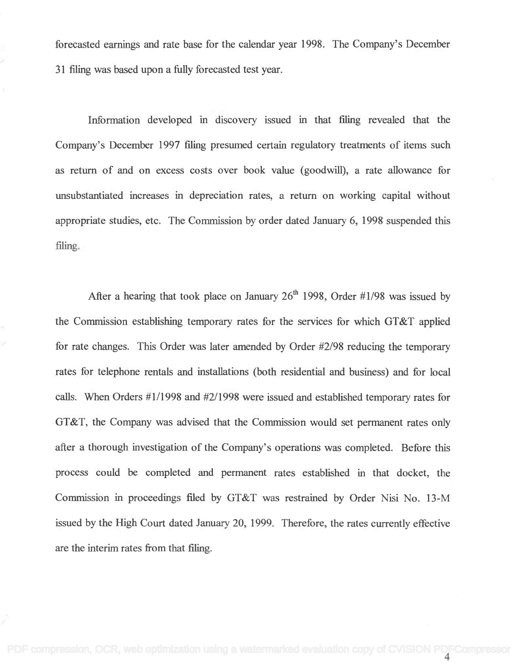forecasted earnings and rate base for the calendar year 1998. The Company's December forecasted earnings and rate base for the calendar year 1998. The Company's December 31 filing was based upon a fully forecasted test year. 31 filing was based upon a fully forecasted test year.

Information developed in discovery issued in that filing revealed that the Information developed in discovery issued in that filing revealed that the Company's December 1997 filing presumed certain regulatory treatments of items such Company's December 1997 filing presumed certain regulatory treatments of items such as return of and on excess costs over book value (goodwill), a rate allowance for as return of and on excess costs over book value (goodwill), a rate allowance for unsubstantiated increases in depreciation rates, a return on working capital without unsubstantiated increases in depreciation rates, a return on working capital without appropriate studies, etc. The Commission by order dated January 6, 1998 suspended this appropriate studies, etc. The Commission by order dated January 6, 1998 suspended this filing. filing.

After a hearing that took place on January  $26<sup>th</sup>$  1998, Order #1/98 was issued by the Commission establishing temporary rates for the services for which GT&T applied the Commission establishing temporary rates for the services for which GT&T applied for rate changes. This Order was later amended by Order #2/98 reducing the temporary for rate changes. This Order was later amended by Order #2/98 reducing the temporary rates for telephone rentals and installations (both residential and business) and for local rates for telephone rentals and installations (both residential and business) and for local calls. When Orders #1/1998 and #2/1998 were issued and established temporary rates for calls. When Orders #1/1998 and #2/1998 were issued and established temporary rates for GT&T, the Company was advised that the Commission would set permanent rates only GT&T, the Company was advised that the Commission would set permanent rates only after a thorough investigation of the Company's operations was completed. Before this after a thorough investigation of the Company's operations was completed. Before this process could be completed and permanent rates established in that docket, the process could be completed and permanent rates established in that docket, the Commission in proceedings filed by GT&T was restrained by Order Nisi No. 13-M Commission in proceedings filed by GT&T was restrained by Order Nisi No. 13-M issued by the High Court dated January 20, 1999. Therefore, the rates currently effective issued by the High Court dated January 20, 1999. Therefore, the rates currently effective are the interim rates from that filing. are the interim rates from that filing.

4 [PDF compression, OCR, web optimization using a watermarked evaluation copy of CVISION PDFCompressor](http://www.cvisiontech.com)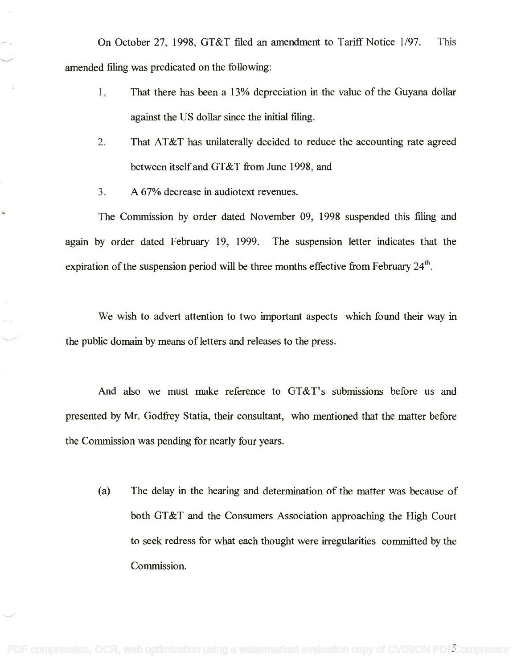On October 27, 1998, GT&T filed an amendment to Tariff Notice 1/97. This On October 27, 1998, GT&T filed an amendment to Tariff Notice 1/97. This amended filing was predicated on the following: amended filing was predicated on the following:

- 1. That there has been a 13% depreciation in the value of the Guyana dollar 1. That there has been a 13% depreciation in the value of the Guyana dollar against the US dollar since the initial filing. against the US dollar since the initial filing.
- 2. That AT&T has unilaterally decided to reduce the accounting rate agreed 2. That AT&T has unilaterally decided to reduce the accounting rate agreed between itself and GT&T from June 1998, and between itself and GT&T from June 1998, and
- 3. A 67% decrease in audiotext revenues. 3. A 67% decrease in audio text revenues.

The Commission by order dated November 09, 1998 suspended this filing and The Commission by order dated November 09, 1998 suspended this filing and again by order dated February 19, 1999. The suspension letter indicates that the again by order dated February 19, 1999. The suspension letter indicates that the expiration of the suspension period will be three months effective from February 24<sup>th</sup>.

We wish to advert attention to two important aspects which found their way in We wish to advert attention to two important aspects which found their way in the public domain by means of letters and releases to the press. the public domain by means of letters and releases to the press.

And also we must make reference to GT&T's submissions before us and And also we must make reference to GT&T's submissions before us and presented by Mr. Godfrey Statia, their consultant, who mentioned that the matter before presented by Mr. Godfrey Statia, their consultant, who mentioned that the matter before the Commission was pending for nearly four years. the Commission was pending for nearly four years.

(a) The delay in the hearing and determination of the matter was because of (a) The delay in the hearing and determination of the matter was because of both GT&T and the Consumers Association approaching the High Court both GT&T and the Consumers Association approaching the High Court to seek redress for what each thought were irregularities committed by the to seek redress for what each thought were irregularities committed by the Commission. Commission.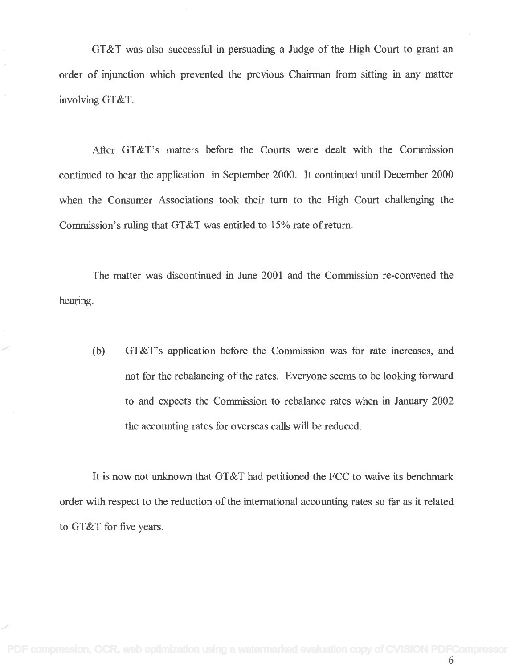GT&T was also successful in persuading a Judge of the High Court to grant an GT&T was also successful in persuading a Judge of the High Court to grant an order of injunction which prevented the previous Chairman from sitting in any matter involving GT&T. involving GT&T.

After GT&T's matters before the Courts were dealt with the Commission After GT&T's matters before the Courts were dealt with the Commission continued to hear the application in September 2000. It continued until December 2000 continued to hear the application in September 2000. It continued until December 2000 when the Consumer Associations took their turn to the High Court challenging the when the Consumer Associations took their turn to the High Court challenging the Commission's ruling that GT&T was entitled to 15% rate of return. Commission's ruling that GT&T was entitled to 15% rate of return.

The matter was discontinued in June 2001 and the Commission re-convened the hearing. hearing.

(b) GT&T's application before the Commission was for rate increases, and (b) GT&T's application before the Commission was for rate increases, and not for the rebalancing of the rates. Everyone seems to be looking forward not for the rebalancing of the rates. Everyone seems to be looking forward to and expects the Commission to rebalance rates when in January 2002 to and expects the Commission to rebalance rates when in January 2002 the accounting rates for overseas calls will be reduced. the accounting rates for overseas calls will be reduced.

It is now not unknown that GT&T had petitioned the FCC to waive its benchmark It is now not unknown that GT&T had petitioned the FCC to waive its benchmark order with respect to the reduction of the international accounting rates so far as it related to GT&T for five years. to GT&T for five years.

6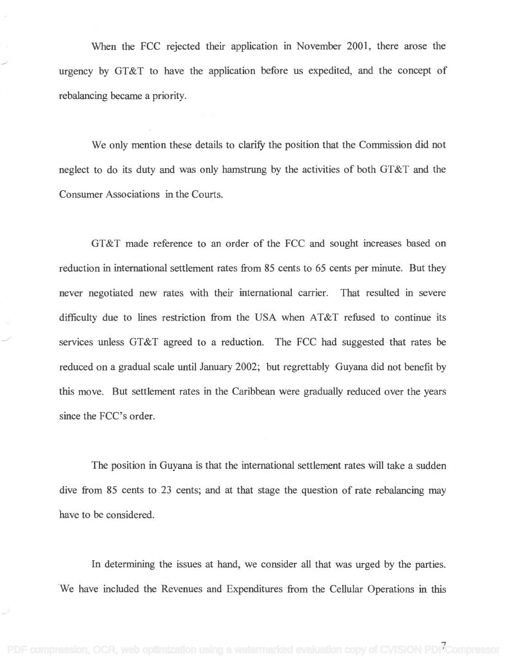When the FCC rejected their application in November 2001, there arose the When the FCC rejected their application in November 2001, there arose the urgency by GT&T to have the application before us expedited, and the concept of urgency by GT&T to have the application before us expedited, and the concept of rebalancing became a priority. rebalancing became a priority.

We only mention these details to clarify the position that the Commission did not neglect to do its duty and was only hamstrung by the activities of both GT&T and the neglect to do its duty and was only hamstrung by the activities of both GT&T and the Consumer Associations in the Courts. Consumer Associations in the Courts.

GT&T made reference to an order of the FCC and sought increases based on GT&T made reference to an order of the FCC and sought increases based on reduction in international settlement rates from 85 cents to 65 cents per minute. But they reduction in international settlement rates from 85 cents to 65 cents per minute. But they never negotiated new rates with their international carrier. That resulted in severe never negotiated new rates with their international carrier. That resulted in severe difficulty due to lines restriction from the USA when AT&T refused to continue its difficulty due to lines restriction from the USA when AT&T refused to continue its services unless GT&T agreed to a reduction. The FCC had suggested that rates be services unless GT&T agreed to a reduction. The FCC had suggested that rates be reduced on a gradual scale until January 2002; but regrettably Guyana did not benefit by reduced on a gradual scale until January 2002; but regrettably Guyana did not benefit by this move. But settlement rates in the Caribbean were gradually reduced over the years since the FCC's order. since the FCC's order.

The position in Guyana is that the international settlement rates will take a sudden The position in Guyana is that the international settlement rates will take a sudden dive from 85 cents to 23 cents; and at that stage the question of rate rebalancing may dive from 85 cents to 23 cents; and at that stage the question of rate rebalancing may have to be considered. have to be considered.

In determining the issues at hand, we consider all that was urged by the parties. In determining the issues at hand, we consider all that was urged by the parties. We have included the Revenues and Expenditures from the Cellular Operations in this We have included the Revenues and Expenditures from the Cellular Operations in this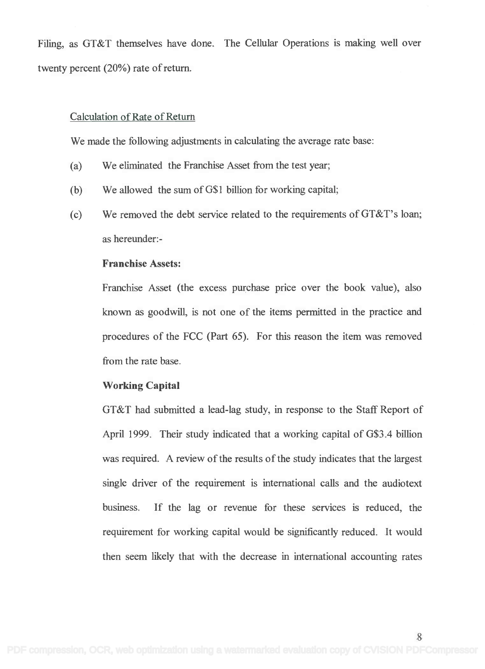Filing, as GT&T themselves have done. The Cellular Operations is making well over Filing, as GT&T themselves have done. The Cellular Operations is making well over twenty percent (20%) rate of return. twenty percent (20%) rate of return.

#### Calculation of Rate of Return Calculation of Rate of Return

We made the following adjustments in calculating the average rate base: We made the following adjustments in calculating the average rate base:

- (a) We eliminated the Franchise Asset from the test year; (a) We eliminated the Franchise Asset from the test year;
- (b) We allowed the sum of G\$1 billion for working capital; (b) We allowed the sum ofG\$l billion for working capital;
- (c) We removed the debt service related to the requirements of GT&T's loan; (c) We removed the debt service related to the requirements ofGT&T's loan; as hereunder: - as hereunder:-

#### Franchise Assets: **Franchise** Assets:

Franchise Asset (the excess purchase price over the book value), also Franchise Asset (the excess purchase price over the book value), also known as goodwill, is not one of the items permitted in the practice and known as goodwill, is not one of the items permitted in the practice and procedures of the FCC (Part 65). For this reason the item was removed procedures of the FCC (Part 65). For this reason the item was removed from the rate base. from the rate base.

### Working Capital **Working Capital**

GT&T had submitted a lead-lag study, in response to the Staff Report of GT&T had submitted a lead-lag study, in response to the Staff Report of April 1999. Their study indicated that a working capital of G\$3.4 billion April 1999. Their study indicated that a working capital of G\$3.4 billion was required. A review of the results of the study indicates that the largest was required. A review of the results of the study indicates that the largest single driver of the requirement is international calls and the audiotext single driver of the requirement is international calls and the audiotext business. If the lag or revenue for these services is reduced, the business. If the lag or revenue for these services is reduced, the requirement for working capital would be significantly reduced. It would then seem likely that with the decrease in international accounting rates then seem likely that with the decrease in international accounting rates

8 i provinci po predstavanja po provinci po predstavanja po predstavanja po predstavanja po predstavanja po pr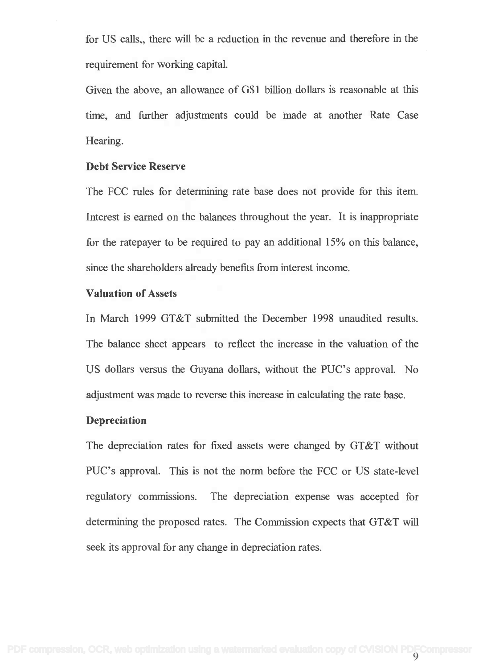for US calls,, there will be a reduction in the revenue and therefore in the requirement for working capital. requirement for working capital.

Given the above, an allowance of G\$1 billion dollars is reasonable at this Given the above, an allowance of G\$1 billion dollars is reasonable at this time, and further adjustments could be made at another Rate Case time, and further adjustments could be made at another Rate Case Hearing. Hearing.

#### Debt Service Reserve **Debt Service Reserve**

The FCC rules for determining rate base does not provide for this item. The FCC rules for determining rate base does not provide for this item. Interest is earned on the balances throughout the year. It is inappropriate for the ratepayer to be required to pay an additional 15% on this balance, for the ratepayer to be required to pay an additional 15% on this balance, since the shareholders already benefits from interest income. since the shareholders already benefits from interest income.

#### Valuation of Assets **Valuation of** Assets

In March 1999 GT&T submitted the December 1998 unaudited results. In March 1999 GT&T submitted the December 1998 unaudited results. The balance sheet appears to reflect the increase in the valuation of the The balance sheet appears to reflect the increase in the valuation of the US dollars versus the Guyana dollars, without the PUC's approval. No US dollars versus the Guyana dollars, without the PUC's approval. No adjustment was made to reverse this increase in calculating the rate base. adjustment was made to reverse this increase in calculating the rate base.

### Depreciation **Depreciation**

The depreciation rates for fixed assets were changed by GT&T without The depreciation rates for fixed assets were changed by GT&T without PUC's approval. This is not the norm before the FCC or US state-level PUC's approval. This is not the norm before the FCC or US state-level regulatory commissions. The depreciation expense was accepted for regulatory commissions. The depreciation expense was accepted for determining the proposed rates. The Commission expects that GT&T will determining the proposed rates. The Commission expects that GT&T will seek its approval for any change in depreciation rates. seek its approval for any change in depreciation rates.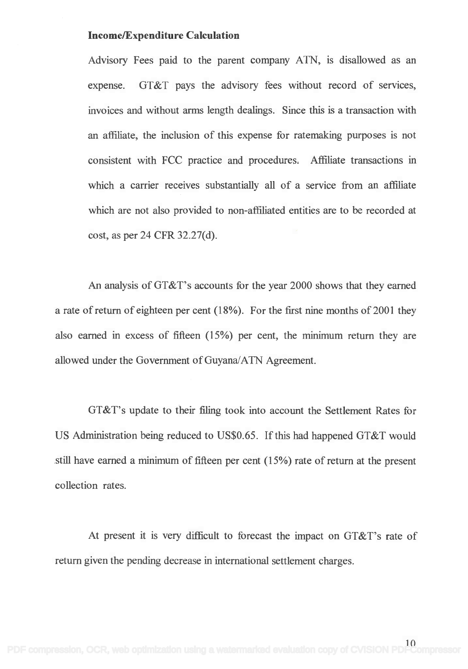### Income/Expenditure Calculation **Income/Expenditure Calculation**

Advisory Fees paid to the parent company ATN, is disallowed as an Advisory Fees paid to the parent company ATN, is disallowed as an expense. GT&T pays the advisory fees without record of services, expense. GT&T pays the advisory fees without record of services, invoices and without arms length dealings. Since this is a transaction with an affiliate, the inclusion of this expense for ratemaking purposes is not an affiliate, the inclusion of this expense for ratemaking purposes is not consistent with FCC practice and procedures. Affiliate transactions in consistent with FCC practice and procedures. Affiliate transactions in which a carrier receives substantially all of a service from an affiliate which a carrier receives substantially all of a service from an affiliate which are not also provided to non-affiliated entities are to be recorded at which are not also provided to non-affiliated entities are to be recorded at cost, as per 24 CFR 32.27(d).

An analysis of GT&T's accounts for the year 2000 shows that they earned An analysis ofGT&T's accounts for the year 2000 shows that they earned a rate of return of eighteen per cent (18%). For the first nine months of 2001 they a rate of return of eighteen per cent (18%). For the first nine months of2001 they also earned in excess of fifteen (15%) per cent, the minimum return they are also earned in excess of fifteen (15%) per cent, the minimum return they are allowed under the Government of Guyana/ATN Agreement. allowed under the Government of Guyana/ATN Agreement.

GT&T's update to their filing took into account the Settlement Rates for GT&T's update to their filing took into account the Settlement Rates for US Administration being reduced to US\$0.65. If this had happened GT&T would US Administration being reduced to US\$0.65. Ifthis had happened GT&T would still have earned a minimum of fifteen per cent (15%) rate of return at the present still have earned a minimum of fifteen per cent (15%) rate of return at the present collection rates. collection rates.

At present it is very difficult to forecast the impact on GT&T's rate of At present it is very difficult to forecast the impact on GT&T's rate of return given the pending decrease in international settlement charges. return given the pending decrease in international settlement charges.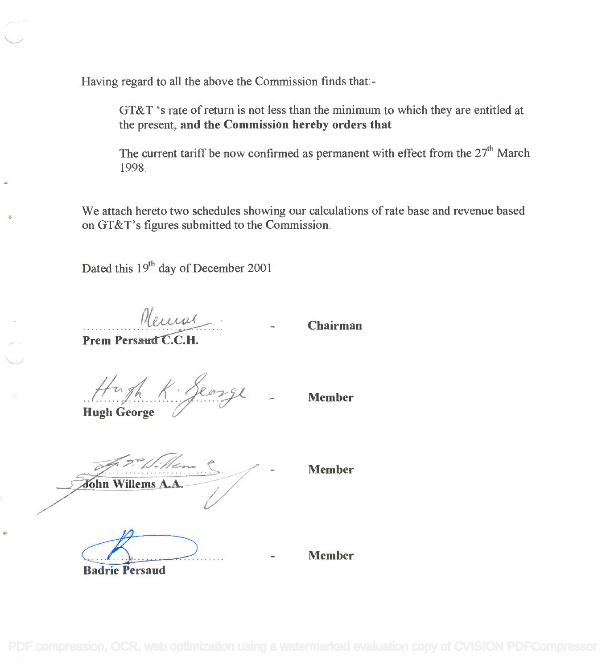Having regard to all the above the Commission finds that:-

GT&T 's rate of return is not less than the minimum to which they are entitled at GT&T 's rate of return is not less than the minimum to which they are entitled at the present, and the Commission hereby orders that the present, **and the Commission hereby orders that**

The current tariff be now confirmed as permanent with effect from the  $27<sup>th</sup>$  March 1998. 1998.

We attach hereto two schedules showing our calculations of rate base and revenue based We attach hereto two schedules showing our calculations of rate base and revenue based on GT&T's figures submitted to the Commission. on GT&T' s figures submitted to the Commission.

Dated this  $19<sup>th</sup>$  day of December 2001

Meural

Chairman

Prem Persaud C.C.H.

Hugh K. Seorge

Hugh George **Hugh George /.::-**

 $\ddot{\bullet}$ 

Member

John Willems A.A

Member

Badrie Persaud **Badrie Persaud**  $\overrightarrow{A}$  $\sum_{\alpha\in\mathbb{Z}}$ 

Member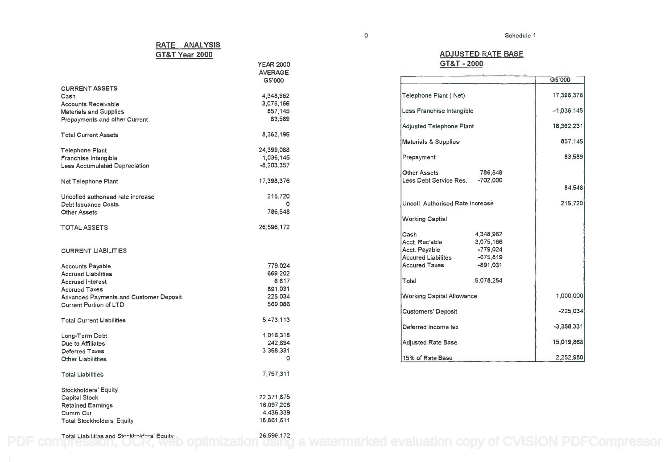#### ADJUSTED RATE BASE **ADJUSTED RATE BASE** GT&T - 2000 **GT&T - 2000**

|                                                                                                       |                                                                               | G\$'000      |
|-------------------------------------------------------------------------------------------------------|-------------------------------------------------------------------------------|--------------|
| Telephone Plant (Net)                                                                                 | 17,398,376                                                                    |              |
| Less Franchise Intangible                                                                             | $-1,036,145$                                                                  |              |
| Adjusted Telephone Plant                                                                              |                                                                               | 16,362,231   |
| Materials & Supplies                                                                                  |                                                                               | 857,145      |
| Prepayment                                                                                            |                                                                               | 83,589       |
| <b>Other Assets</b><br>Less Debt Service Res.                                                         | 786.548<br>$-702,000$                                                         | 84,548       |
| Uncoll. Authorised Rate Increase                                                                      |                                                                               | 215,720      |
| <b>Working Captial</b>                                                                                |                                                                               |              |
| Cash<br>Acct. Rec'able<br>Acct. Payable<br><b>Accured Liabilites</b><br><b>Accured Taxes</b><br>Total | 4,348,962<br>3,075,166<br>$-779.024$<br>$-675,819$<br>$-891,031$<br>5,078,254 |              |
| Working Capital Allowance                                                                             |                                                                               | 1,000,000    |
| <b>Customers' Deposit</b>                                                                             |                                                                               | $-225,034$   |
| Deferred Income tax                                                                                   |                                                                               | $-3,358,331$ |
| Adjusted Rate Base                                                                                    |                                                                               | 15,019,868   |
| 15% of Rate Base                                                                                      |                                                                               | 2,252,980    |

#### RATE ANALYSIS **RATE ANALYSIS** GT&T Year 2000 **GT&T Year 2000**

|                                         | YEAR 2000      |  |
|-----------------------------------------|----------------|--|
|                                         | <b>AVERAGE</b> |  |
|                                         | G\$'000        |  |
| <b>CURRENT ASSETS</b>                   |                |  |
| Cash                                    | 4,348,962      |  |
| Accounts Receivable                     | 3,075,166      |  |
| <b>Materials and Supplies</b>           | 857,145        |  |
| Prepayments and other Current           | 83,589         |  |
|                                         |                |  |
| <b>Total Current Assets</b>             |                |  |
|                                         | 8,362,195      |  |
|                                         |                |  |
| Telephone Plant                         | 24,399,088     |  |
| Franchise Intangible                    | 1,036,145      |  |
| <b>Less Accumulated Depreciation</b>    | $-8,203,357$   |  |
|                                         |                |  |
| Net Telephone Plant                     | 17,398,376     |  |
|                                         |                |  |
| Uncolled authorised rate increase       | 215,720        |  |
| <b>Debt Issuance Costs</b>              | o              |  |
| <b>Other Assets</b>                     | 786,548        |  |
|                                         |                |  |
| <b>TOTAL ASSETS</b>                     | 26,596,172     |  |
|                                         |                |  |
|                                         |                |  |
| <b>CURRENT LIABILITIES</b>              |                |  |
|                                         |                |  |
| <b>Accounts Payable</b>                 | 779,024        |  |
| <b>Accrued Liabilities</b>              | 669,202        |  |
| <b>Accrued Interest</b>                 | 6,617          |  |
| <b>Accrued Taxes</b>                    | 891,031        |  |
| Advanced Payments and Customer Deposit. | 225,034        |  |
| Current Portion of LTD                  | 569,086        |  |
|                                         |                |  |
| Total Current Liabilities               | 5,473,113      |  |
|                                         |                |  |
| Long-Term Debt                          | 1,016,318      |  |
| Due to Affiliates                       | 242,894        |  |
| Deferred Taxes                          | 3,358,331      |  |
| Other Liabilitties                      | 0              |  |
|                                         |                |  |
| <b>Total Liabilities</b>                | 7,757,311      |  |
|                                         |                |  |
| Stockholders' Equity                    |                |  |
| Capital Stock                           | 22,371,875     |  |
| <b>Retained Earnings</b>                | 16,097,208     |  |
| Cumm Cur                                | 4,436,339      |  |
| <b>Total Stockholders' Equity</b>       | 18,861,611     |  |
|                                         |                |  |

[PDF compression, OCR, web optimization using a watermarked evaluation copy of CVISION PDFCompressor](http://www.cvisiontech.com)